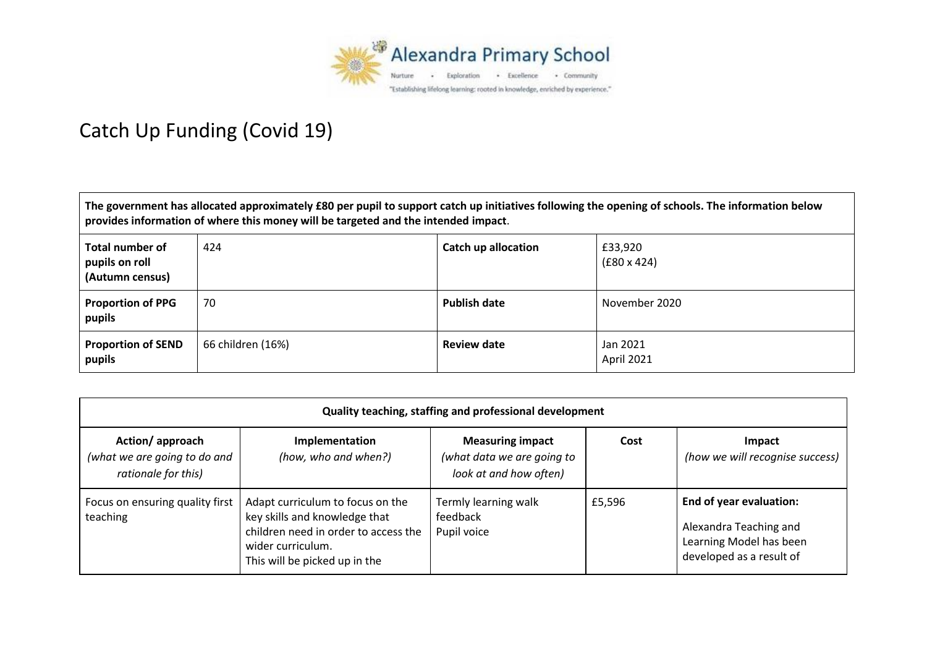

## Catch Up Funding (Covid 19)

**The government has allocated approximately £80 per pupil to support catch up initiatives following the opening of schools. The information below provides information of where this money will be targeted and the intended impact**.

| Total number of<br>pupils on roll<br>(Autumn census) | 424               | <b>Catch up allocation</b> | £33,920<br>$(£80 \times 424)$ |
|------------------------------------------------------|-------------------|----------------------------|-------------------------------|
| Proportion of PPG<br>pupils                          | 70                | <b>Publish date</b>        | November 2020                 |
| <b>Proportion of SEND</b><br>pupils                  | 66 children (16%) | <b>Review date</b>         | Jan 2021<br>April 2021        |

| Quality teaching, staffing and professional development                |                                                                                                                                                                 |                                                                                 |        |                                                                                                          |  |
|------------------------------------------------------------------------|-----------------------------------------------------------------------------------------------------------------------------------------------------------------|---------------------------------------------------------------------------------|--------|----------------------------------------------------------------------------------------------------------|--|
| Action/approach<br>(what we are going to do and<br>rationale for this) | <b>Implementation</b><br>(how, who and when?)                                                                                                                   | <b>Measuring impact</b><br>(what data we are going to<br>look at and how often) | Cost   | Impact<br>(how we will recognise success)                                                                |  |
| Focus on ensuring quality first<br>teaching                            | Adapt curriculum to focus on the<br>key skills and knowledge that<br>children need in order to access the<br>wider curriculum.<br>This will be picked up in the | Termly learning walk<br>feedback<br>Pupil voice                                 | £5,596 | End of year evaluation:<br>Alexandra Teaching and<br>Learning Model has been<br>developed as a result of |  |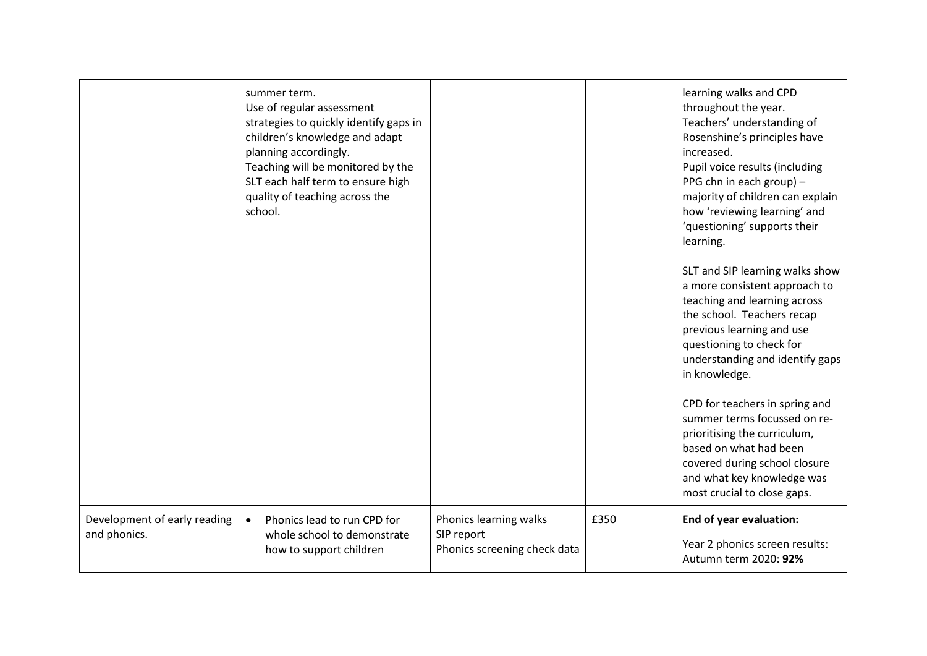|                                              | summer term.<br>Use of regular assessment<br>strategies to quickly identify gaps in<br>children's knowledge and adapt<br>planning accordingly.<br>Teaching will be monitored by the<br>SLT each half term to ensure high<br>quality of teaching across the<br>school. |                                                                      |      | learning walks and CPD<br>throughout the year.<br>Teachers' understanding of<br>Rosenshine's principles have<br>increased.<br>Pupil voice results (including<br>PPG chn in each group) -<br>majority of children can explain<br>how 'reviewing learning' and<br>'questioning' supports their<br>learning.<br>SLT and SIP learning walks show<br>a more consistent approach to<br>teaching and learning across<br>the school. Teachers recap<br>previous learning and use<br>questioning to check for<br>understanding and identify gaps<br>in knowledge.<br>CPD for teachers in spring and<br>summer terms focussed on re-<br>prioritising the curriculum,<br>based on what had been<br>covered during school closure<br>and what key knowledge was<br>most crucial to close gaps. |
|----------------------------------------------|-----------------------------------------------------------------------------------------------------------------------------------------------------------------------------------------------------------------------------------------------------------------------|----------------------------------------------------------------------|------|------------------------------------------------------------------------------------------------------------------------------------------------------------------------------------------------------------------------------------------------------------------------------------------------------------------------------------------------------------------------------------------------------------------------------------------------------------------------------------------------------------------------------------------------------------------------------------------------------------------------------------------------------------------------------------------------------------------------------------------------------------------------------------|
| Development of early reading<br>and phonics. | Phonics lead to run CPD for<br>$\bullet$<br>whole school to demonstrate<br>how to support children                                                                                                                                                                    | Phonics learning walks<br>SIP report<br>Phonics screening check data | £350 | End of year evaluation:<br>Year 2 phonics screen results:<br>Autumn term 2020: 92%                                                                                                                                                                                                                                                                                                                                                                                                                                                                                                                                                                                                                                                                                                 |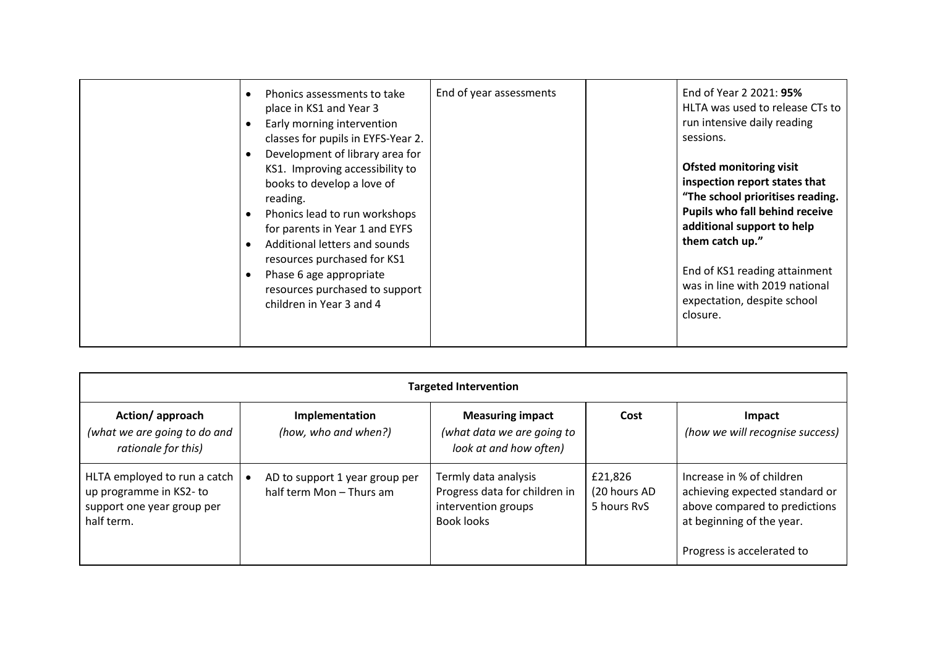| Phonics assessments to take<br>$\bullet$<br>place in KS1 and Year 3<br>Early morning intervention<br>٠<br>classes for pupils in EYFS-Year 2.<br>Development of library area for<br>$\bullet$<br>KS1. Improving accessibility to<br>books to develop a love of<br>reading.<br>Phonics lead to run workshops<br>$\bullet$<br>for parents in Year 1 and EYFS<br>Additional letters and sounds<br>$\bullet$ | End of year assessments | End of Year 2 2021: 95%<br>HLTA was used to release CTs to<br>run intensive daily reading<br>sessions.<br><b>Ofsted monitoring visit</b><br>inspection report states that<br>"The school prioritises reading.<br>Pupils who fall behind receive<br>additional support to help<br>them catch up." |
|---------------------------------------------------------------------------------------------------------------------------------------------------------------------------------------------------------------------------------------------------------------------------------------------------------------------------------------------------------------------------------------------------------|-------------------------|--------------------------------------------------------------------------------------------------------------------------------------------------------------------------------------------------------------------------------------------------------------------------------------------------|
| resources purchased for KS1<br>Phase 6 age appropriate<br>resources purchased to support<br>children in Year 3 and 4                                                                                                                                                                                                                                                                                    |                         | End of KS1 reading attainment<br>was in line with 2019 national<br>expectation, despite school<br>closure.                                                                                                                                                                                       |

| <b>Targeted Intervention</b>                                                                       |                                                            |                                                                                            |                                        |                                                                                                                                                         |
|----------------------------------------------------------------------------------------------------|------------------------------------------------------------|--------------------------------------------------------------------------------------------|----------------------------------------|---------------------------------------------------------------------------------------------------------------------------------------------------------|
| Action/approach<br>(what we are going to do and<br>rationale for this)                             | Implementation<br>(how, who and when?)                     | <b>Measuring impact</b><br>(what data we are going to<br>look at and how often)            | Cost                                   | Impact<br>(how we will recognise success)                                                                                                               |
| HLTA employed to run a catch<br>up programme in KS2-to<br>support one year group per<br>half term. | AD to support 1 year group per<br>half term Mon - Thurs am | Termly data analysis<br>Progress data for children in<br>intervention groups<br>Book looks | £21,826<br>(20 hours AD<br>5 hours RvS | Increase in % of children<br>achieving expected standard or<br>above compared to predictions<br>at beginning of the year.<br>Progress is accelerated to |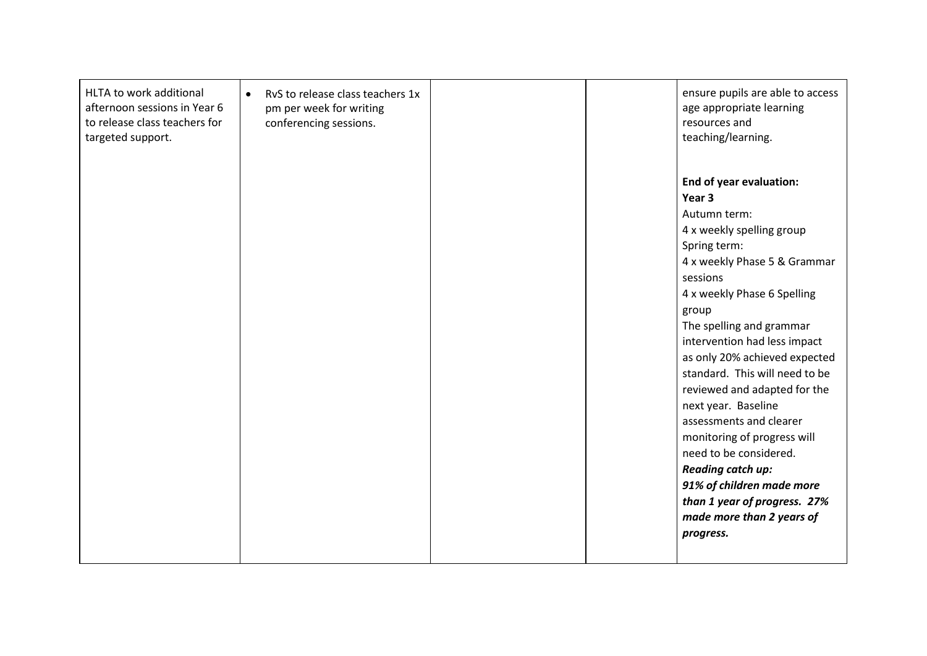| HLTA to work additional       | RvS to release class teachers 1x<br>$\bullet$ | ensure pupils are able to access |
|-------------------------------|-----------------------------------------------|----------------------------------|
| afternoon sessions in Year 6  | pm per week for writing                       | age appropriate learning         |
| to release class teachers for | conferencing sessions.                        | resources and                    |
| targeted support.             |                                               | teaching/learning.               |
|                               |                                               |                                  |
|                               |                                               |                                  |
|                               |                                               | <b>End of year evaluation:</b>   |
|                               |                                               | Year 3                           |
|                               |                                               | Autumn term:                     |
|                               |                                               | 4 x weekly spelling group        |
|                               |                                               | Spring term:                     |
|                               |                                               | 4 x weekly Phase 5 & Grammar     |
|                               |                                               | sessions                         |
|                               |                                               | 4 x weekly Phase 6 Spelling      |
|                               |                                               | group                            |
|                               |                                               | The spelling and grammar         |
|                               |                                               | intervention had less impact     |
|                               |                                               | as only 20% achieved expected    |
|                               |                                               | standard. This will need to be   |
|                               |                                               | reviewed and adapted for the     |
|                               |                                               | next year. Baseline              |
|                               |                                               | assessments and clearer          |
|                               |                                               | monitoring of progress will      |
|                               |                                               | need to be considered.           |
|                               |                                               | <b>Reading catch up:</b>         |
|                               |                                               | 91% of children made more        |
|                               |                                               | than 1 year of progress. 27%     |
|                               |                                               | made more than 2 years of        |
|                               |                                               | progress.                        |
|                               |                                               |                                  |
|                               |                                               |                                  |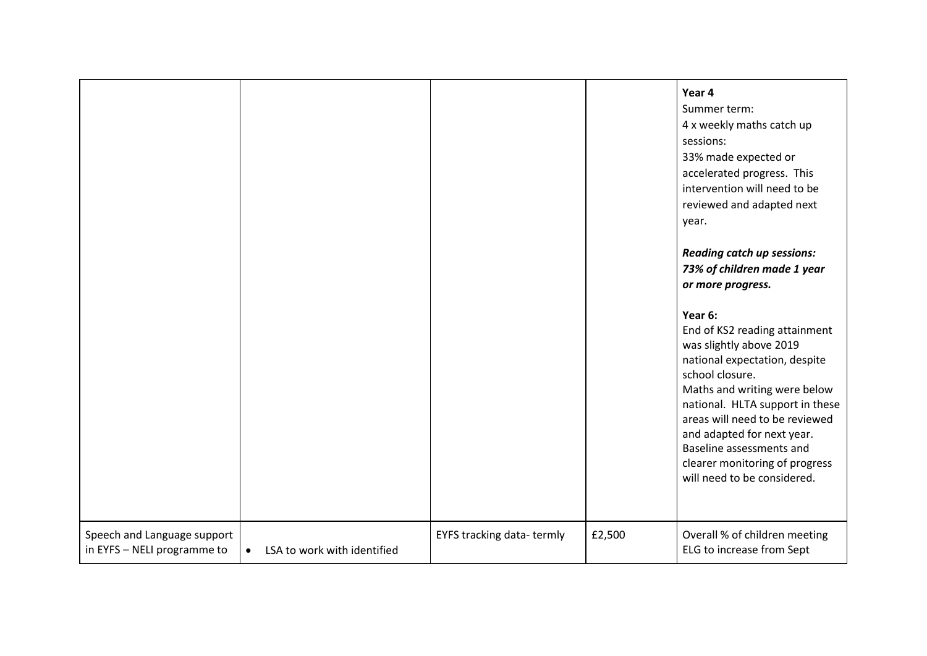|                                                            |                                          |                           |        | Year 4<br>Summer term:<br>4 x weekly maths catch up<br>sessions:<br>33% made expected or<br>accelerated progress. This<br>intervention will need to be<br>reviewed and adapted next<br>year.<br><b>Reading catch up sessions:</b><br>73% of children made 1 year<br>or more progress.<br>Year 6:<br>End of KS2 reading attainment<br>was slightly above 2019<br>national expectation, despite<br>school closure.<br>Maths and writing were below<br>national. HLTA support in these<br>areas will need to be reviewed<br>and adapted for next year.<br>Baseline assessments and<br>clearer monitoring of progress<br>will need to be considered. |
|------------------------------------------------------------|------------------------------------------|---------------------------|--------|--------------------------------------------------------------------------------------------------------------------------------------------------------------------------------------------------------------------------------------------------------------------------------------------------------------------------------------------------------------------------------------------------------------------------------------------------------------------------------------------------------------------------------------------------------------------------------------------------------------------------------------------------|
| Speech and Language support<br>in EYFS - NELI programme to | LSA to work with identified<br>$\bullet$ | EYFS tracking data-termly | £2,500 | Overall % of children meeting<br>ELG to increase from Sept                                                                                                                                                                                                                                                                                                                                                                                                                                                                                                                                                                                       |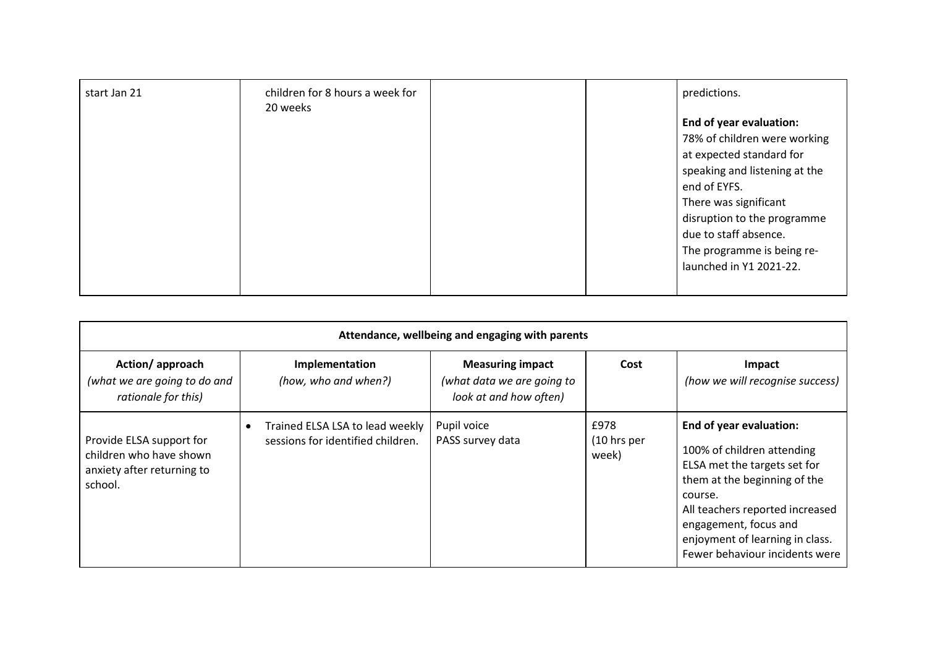| start Jan 21 | children for 8 hours a week for<br>20 weeks |  | predictions.                  |
|--------------|---------------------------------------------|--|-------------------------------|
|              |                                             |  | End of year evaluation:       |
|              |                                             |  | 78% of children were working  |
|              |                                             |  | at expected standard for      |
|              |                                             |  | speaking and listening at the |
|              |                                             |  | end of EYFS.                  |
|              |                                             |  | There was significant         |
|              |                                             |  | disruption to the programme   |
|              |                                             |  | due to staff absence.         |
|              |                                             |  | The programme is being re-    |
|              |                                             |  | launched in Y1 2021-22.       |
|              |                                             |  |                               |

| Attendance, wellbeing and engaging with parents                                              |                                                                      |                                                                                 |                                         |                                                                                                                                                                                                                                                                   |
|----------------------------------------------------------------------------------------------|----------------------------------------------------------------------|---------------------------------------------------------------------------------|-----------------------------------------|-------------------------------------------------------------------------------------------------------------------------------------------------------------------------------------------------------------------------------------------------------------------|
| Action/approach<br>(what we are going to do and<br>rationale for this)                       | Implementation<br>(how, who and when?)                               | <b>Measuring impact</b><br>(what data we are going to<br>look at and how often) | Cost                                    | Impact<br>(how we will recognise success)                                                                                                                                                                                                                         |
| Provide ELSA support for<br>children who have shown<br>anxiety after returning to<br>school. | Trained ELSA LSA to lead weekly<br>sessions for identified children. | Pupil voice<br>PASS survey data                                                 | £978<br>$(10 \text{ hrs per})$<br>week) | End of year evaluation:<br>100% of children attending<br>ELSA met the targets set for<br>them at the beginning of the<br>course.<br>All teachers reported increased<br>engagement, focus and<br>enjoyment of learning in class.<br>Fewer behaviour incidents were |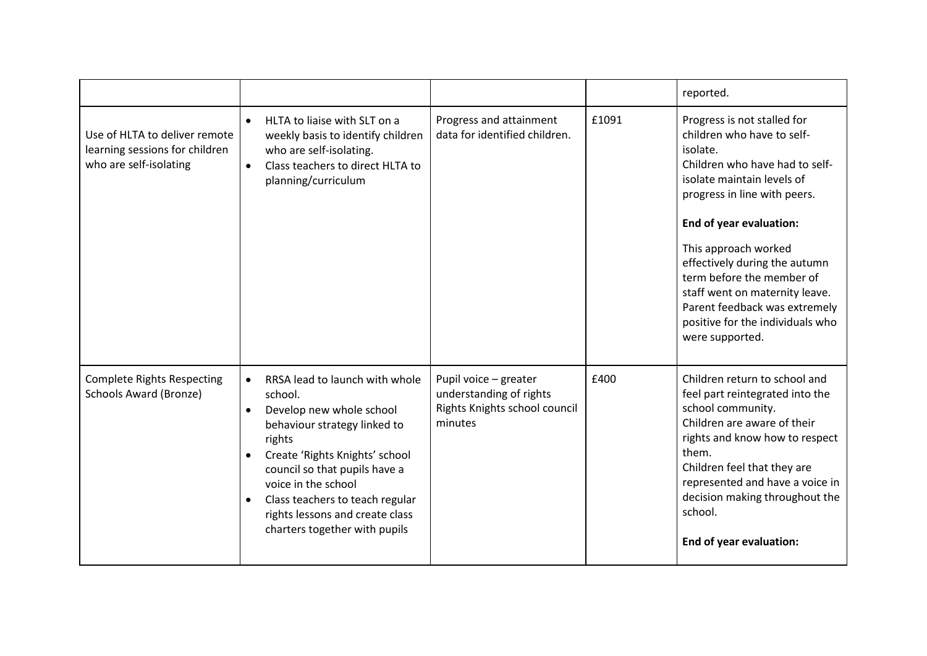|                                                                                           |                                                                                                                                                                                                                                                                                                                                            |                                                                                              |       | reported.                                                                                                                                                                                                                                                                                                                                                                                                        |
|-------------------------------------------------------------------------------------------|--------------------------------------------------------------------------------------------------------------------------------------------------------------------------------------------------------------------------------------------------------------------------------------------------------------------------------------------|----------------------------------------------------------------------------------------------|-------|------------------------------------------------------------------------------------------------------------------------------------------------------------------------------------------------------------------------------------------------------------------------------------------------------------------------------------------------------------------------------------------------------------------|
| Use of HLTA to deliver remote<br>learning sessions for children<br>who are self-isolating | HLTA to liaise with SLT on a<br>$\bullet$<br>weekly basis to identify children<br>who are self-isolating.<br>Class teachers to direct HLTA to<br>$\bullet$<br>planning/curriculum                                                                                                                                                          | Progress and attainment<br>data for identified children.                                     | £1091 | Progress is not stalled for<br>children who have to self-<br>isolate.<br>Children who have had to self-<br>isolate maintain levels of<br>progress in line with peers.<br>End of year evaluation:<br>This approach worked<br>effectively during the autumn<br>term before the member of<br>staff went on maternity leave.<br>Parent feedback was extremely<br>positive for the individuals who<br>were supported. |
| <b>Complete Rights Respecting</b><br>Schools Award (Bronze)                               | RRSA lead to launch with whole<br>$\bullet$<br>school.<br>Develop new whole school<br>$\bullet$<br>behaviour strategy linked to<br>rights<br>Create 'Rights Knights' school<br>council so that pupils have a<br>voice in the school<br>Class teachers to teach regular<br>rights lessons and create class<br>charters together with pupils | Pupil voice - greater<br>understanding of rights<br>Rights Knights school council<br>minutes | £400  | Children return to school and<br>feel part reintegrated into the<br>school community.<br>Children are aware of their<br>rights and know how to respect<br>them.<br>Children feel that they are<br>represented and have a voice in<br>decision making throughout the<br>school.<br>End of year evaluation:                                                                                                        |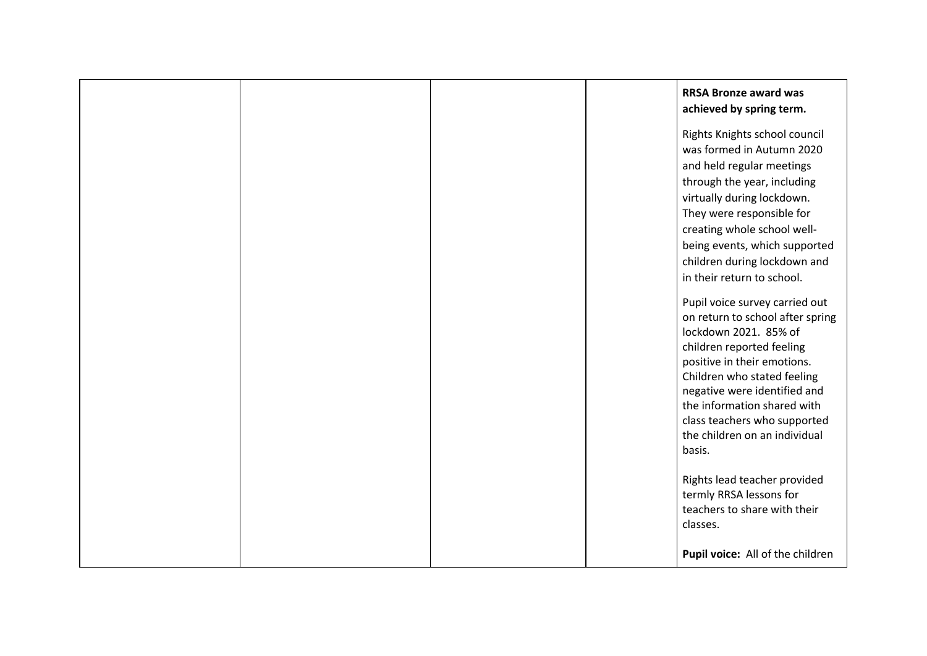|  |  | <b>RRSA Bronze award was</b><br>achieved by spring term.                                                                                                                                                                                                                                                                                                                                                                                                                                                                                                                                                                                                                                                       |
|--|--|----------------------------------------------------------------------------------------------------------------------------------------------------------------------------------------------------------------------------------------------------------------------------------------------------------------------------------------------------------------------------------------------------------------------------------------------------------------------------------------------------------------------------------------------------------------------------------------------------------------------------------------------------------------------------------------------------------------|
|  |  | Rights Knights school council<br>was formed in Autumn 2020<br>and held regular meetings<br>through the year, including<br>virtually during lockdown.<br>They were responsible for<br>creating whole school well-<br>being events, which supported<br>children during lockdown and<br>in their return to school.<br>Pupil voice survey carried out<br>on return to school after spring<br>lockdown 2021. 85% of<br>children reported feeling<br>positive in their emotions.<br>Children who stated feeling<br>negative were identified and<br>the information shared with<br>class teachers who supported<br>the children on an individual<br>basis.<br>Rights lead teacher provided<br>termly RRSA lessons for |
|  |  | teachers to share with their<br>classes.<br>Pupil voice: All of the children                                                                                                                                                                                                                                                                                                                                                                                                                                                                                                                                                                                                                                   |
|  |  |                                                                                                                                                                                                                                                                                                                                                                                                                                                                                                                                                                                                                                                                                                                |